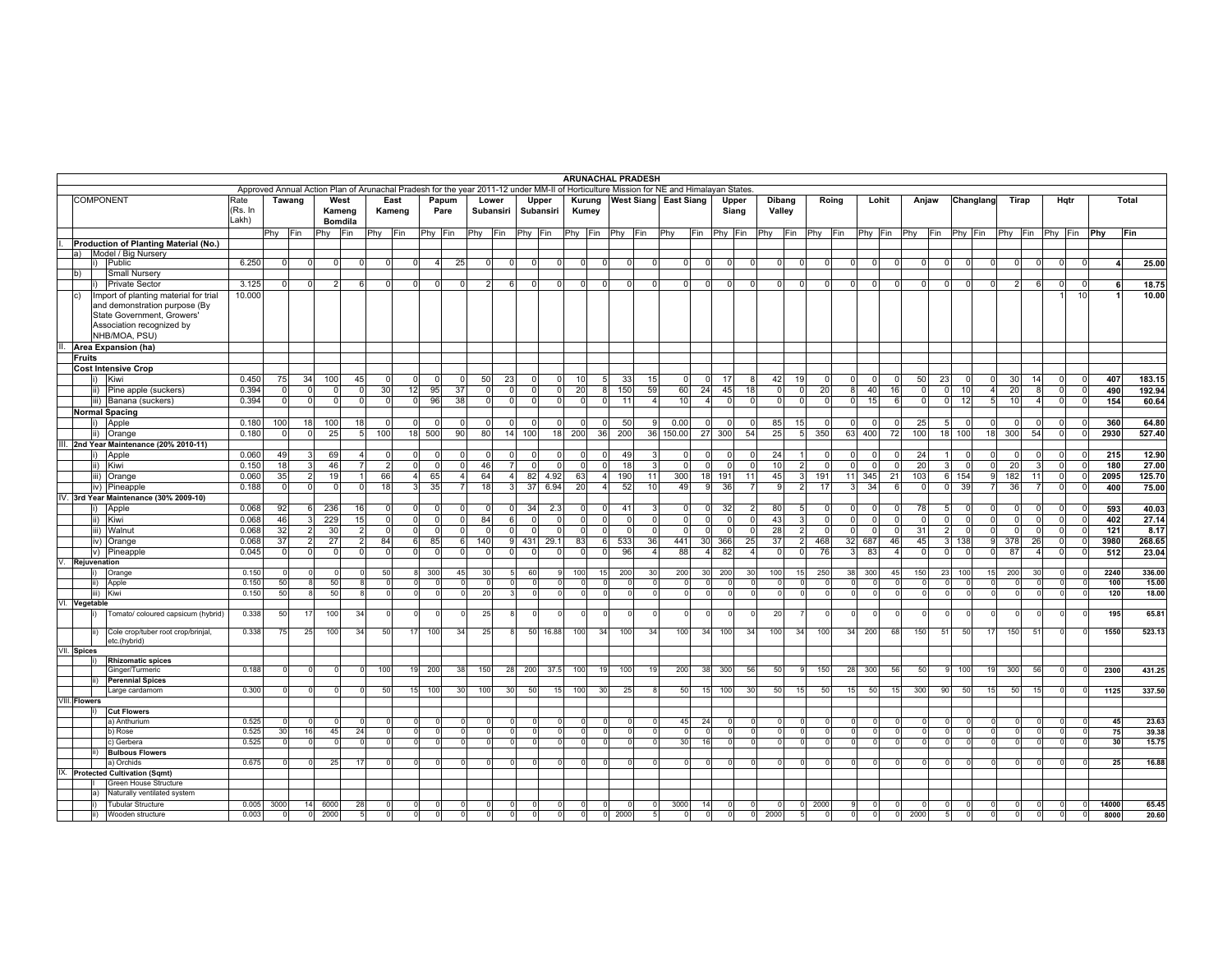|                  |               |                                                                                                                                                    |                 |                |                |                |                |                      |                                                                                                                                       |                      |                            |                                  |                     |          |                            |                 | <b>ARUNACHAL PRADESH</b> |                       |                               |                |                |                      |                      |                      |                            |                |               |                                  |                |                      |                |             |                |                        |                |
|------------------|---------------|----------------------------------------------------------------------------------------------------------------------------------------------------|-----------------|----------------|----------------|----------------|----------------|----------------------|---------------------------------------------------------------------------------------------------------------------------------------|----------------------|----------------------------|----------------------------------|---------------------|----------|----------------------------|-----------------|--------------------------|-----------------------|-------------------------------|----------------|----------------|----------------------|----------------------|----------------------|----------------------------|----------------|---------------|----------------------------------|----------------|----------------------|----------------|-------------|----------------|------------------------|----------------|
|                  |               |                                                                                                                                                    |                 |                |                |                |                |                      | Approved Annual Action Plan of Arunachal Pradesh for the year 2011-12 under MM-II of Horticulture Mission for NE and Himalayan States |                      |                            |                                  |                     |          |                            |                 |                          |                       |                               |                |                |                      |                      |                      |                            |                |               |                                  |                |                      |                |             |                |                        |                |
| <b>COMPONENT</b> |               |                                                                                                                                                    | Rate<br>(Rs. In |                | Tawang         | West<br>Kameng |                | East<br>Kameng       |                                                                                                                                       | Papum<br>Pare        |                            | Lower<br>Subansiri               | Upper<br>Subansiri  |          | Kurung<br>Kumey            |                 |                          | West Siang East Siang |                               |                | Upper<br>Siang | Dibang<br>Valley     |                      | Roing                | Lohit                      |                | Anjaw         |                                  | Changlang      | Tirap                |                |             | Hqtr           |                        | Total          |
|                  |               |                                                                                                                                                    | Lakh)           |                |                | <b>Bomdila</b> |                |                      |                                                                                                                                       |                      |                            |                                  |                     |          |                            |                 |                          |                       |                               |                |                |                      |                      |                      |                            |                |               |                                  |                |                      |                |             |                |                        |                |
|                  |               |                                                                                                                                                    |                 | Phy Fin        |                | Phy            | Fin            | Phy                  | Fin                                                                                                                                   | Phy Fin              | Phy                        | Fin                              | Phy Fin             |          |                            | Phy Fin Phy Fin |                          | Phy                   | Fin                           | Phy Fin        |                | Phy<br>Fin           |                      | Phy Fin              | Phy Fin                    | Phy            | Fin           | Phy Fin                          |                | Phy                  | Fin            | Phy         | Fin Phy        |                        | Fin            |
|                  |               | Production of Planting Material (No.)<br>a) Model / Big Nursery                                                                                    |                 |                |                |                |                |                      |                                                                                                                                       |                      |                            |                                  |                     |          |                            |                 |                          |                       |                               |                |                |                      |                      |                      |                            |                |               |                                  |                |                      |                |             |                |                        |                |
|                  |               | $\vert i \rangle$<br>Public                                                                                                                        | 6.250           | $\Omega$       | $\Omega$       | $\Omega$       | $\Omega$       | $\Omega$             | $\overline{0}$                                                                                                                        | 25<br>$\overline{4}$ | $\overline{0}$             | $\circ$                          | $\circ$             | $\Omega$ | $\overline{0}$             | $\overline{0}$  | $\overline{0}$           | $\Omega$              | $\Omega$<br>$\Omega$          | $\overline{0}$ | $\Omega$       | $\overline{0}$       | $\Omega$             | $\Omega$<br>$\Omega$ | $\overline{0}$<br>$\Omega$ | $\overline{0}$ |               | $\overline{0}$<br>$\Omega$       | $\overline{0}$ | $\mathbf 0$          | $\overline{0}$ | $\Omega$    | $\mathbf 0$    | $\overline{4}$         | 25.00          |
|                  | $ b\rangle$   | Small Nursery                                                                                                                                      |                 |                |                |                |                |                      |                                                                                                                                       |                      |                            |                                  |                     |          |                            |                 |                          |                       |                               |                |                |                      |                      |                      |                            |                |               |                                  |                |                      |                |             |                |                        |                |
|                  |               | <b>Private Sector</b>                                                                                                                              | 3.125           | $\overline{0}$ | $\Omega$       | 2              | 6              | $\Omega$             | $\overline{0}$                                                                                                                        | $\Omega$             | $\Omega$                   | 2 <sup>1</sup><br>6              | $\overline{0}$      | $\Omega$ | $\overline{0}$             | $\overline{0}$  | $\Omega$                 | $\Omega$              | $\Omega$<br>$\Omega$          | $\overline{0}$ | $\overline{0}$ | $\overline{0}$       | $\Omega$             | $\Omega$<br>$\Omega$ | $\Omega$<br>$\Omega$       | $\Omega$       |               | $\overline{0}$<br>$\overline{0}$ | $\overline{0}$ | 2 <sup>1</sup>       | 6              | - 0         | $\mathbf 0$    | -6                     | 18.75          |
|                  | Ic)           | Import of planting material for trial<br>and demonstration purpose (By<br>State Government, Growers'<br>Association recognized by<br>NHB/MOA, PSU) | 10.000          |                |                |                |                |                      |                                                                                                                                       |                      |                            |                                  |                     |          |                            |                 |                          |                       |                               |                |                |                      |                      |                      |                            |                |               |                                  |                |                      |                |             | 10             |                        | 10.00          |
|                  |               | Area Expansion (ha)                                                                                                                                |                 |                |                |                |                |                      |                                                                                                                                       |                      |                            |                                  |                     |          |                            |                 |                          |                       |                               |                |                |                      |                      |                      |                            |                |               |                                  |                |                      |                |             |                |                        |                |
|                  | <b>Fruits</b> |                                                                                                                                                    |                 |                |                |                |                |                      |                                                                                                                                       |                      |                            |                                  |                     |          |                            |                 |                          |                       |                               |                |                |                      |                      |                      |                            |                |               |                                  |                |                      |                |             |                |                        |                |
|                  |               | <b>Cost Intensive Crop</b>                                                                                                                         |                 |                |                |                |                |                      |                                                                                                                                       |                      |                            |                                  |                     |          |                            |                 |                          |                       |                               |                |                |                      |                      |                      |                            |                |               |                                  |                |                      |                |             |                |                        |                |
|                  |               | Kiwi<br>li)                                                                                                                                        | 0.450           | 75             | 34             | 100            | 45             | 0                    | $\overline{0}$                                                                                                                        | $\Omega$             | 50<br>$\mathbf 0$          | 23                               | $\overline{0}$      | 0        | 10 <sup>1</sup>            | 5               | 33<br>15                 |                       | $\Omega$                      | 17             | 8              | 42                   | 19                   | $\Omega$             | $\Omega$<br>$\Omega$       | 50             | 23            | $\overline{0}$                   |                | 30                   | 14             | $\mathbf 0$ | $\circ$        | 407                    | 183.15         |
|                  |               | Pine apple (suckers)<br>$\vert$ ii)                                                                                                                | 0.394           | $\Omega$       | $\Omega$       | $\Omega$       | $\Omega$       | 30                   | 12                                                                                                                                    | 95<br>37             | $\overline{0}$             | $\Omega$                         | $\overline{0}$      | $\Omega$ | 20                         | 8               | 59<br>150                |                       | 60<br>24                      | 45             | 18             | $\overline{0}$       | $\circ$              | 20<br>8              | 40<br>16                   | $\overline{0}$ | $\Omega$      | 10                               | 4              | 20                   | 8              | $\Omega$    | $\circ$        | 490                    | 192.94         |
|                  |               | iii) Banana (suckers)                                                                                                                              | 0.394           | $\Omega$       | $\Omega$       | $\Omega$       | $\Omega$       | $\Omega$             | $\overline{0}$                                                                                                                        | 38<br>96             |                            | $\overline{0}$<br>$\overline{0}$ | $\circ$             | $\Omega$ | $\overline{0}$             | $\overline{0}$  | 11                       | $\overline{4}$        | 10<br>$\overline{4}$          | $\overline{0}$ | $\Omega$       | $\circ$              | $\overline{0}$       | $\Omega$<br>$\Omega$ | 15<br>6                    | $\Omega$       |               | 12<br>$\overline{0}$             | 5 <sub>l</sub> | 10                   | $\overline{4}$ | $\mathbf 0$ | $\circ$        | 154                    | 60.64          |
|                  |               | <b>Normal Spacing</b>                                                                                                                              |                 |                |                |                |                |                      |                                                                                                                                       |                      |                            |                                  |                     |          |                            |                 |                          |                       |                               |                |                |                      |                      |                      |                            |                |               |                                  |                |                      |                |             |                |                        |                |
|                  |               | Apple<br>li)                                                                                                                                       | 0.180           | 100            | 18             | 100            | 18             | $\Omega$             | $\overline{0}$                                                                                                                        | $\Omega$             | $\Omega$<br>$\Omega$       | $\overline{0}$                   | $\overline{0}$      | $\Omega$ | $\overline{0}$             | $\overline{0}$  | 50                       | 9<br>0.00             |                               | $\overline{0}$ | <sup>0</sup>   | 85                   | 15                   | $\Omega$             | $\Omega$<br>$\Omega$       | 25             |               | $\Omega$                         | $\Omega$       | $\mathbf 0$          | $\Omega$       | $\mathbf 0$ | $\Omega$       | 360                    | 64.80          |
|                  |               | $\vert$ ii)<br>Orange                                                                                                                              | 0.180           | 0              | $\Omega$       | 25             | 5 <sub>l</sub> | 100                  | 18 500                                                                                                                                | 90                   | 80                         |                                  | 14 100              | 18       | 200                        | 36              | 200                      | 36 150.00             | 27                            | 300            | 54             | 25                   | $5 \vert$            | 350<br>63            | 400<br>72                  | 100            | 18            | 100                              | 18             | 300                  | 54             | $\mathbf 0$ | $\overline{0}$ | 2930                   | 527.40         |
|                  |               | III. 2nd Year Maintenance (20% 2010-11)                                                                                                            |                 |                |                |                |                |                      |                                                                                                                                       |                      |                            |                                  |                     |          |                            |                 |                          |                       |                               |                |                |                      |                      |                      |                            |                |               |                                  |                |                      |                |             |                |                        |                |
|                  |               | Apple<br>$\vert i \rangle$                                                                                                                         | 0.060           | 49             | з              | 69             | 4              | $\Omega$             | $\overline{0}$                                                                                                                        | $\Omega$             | $\overline{0}$<br>$\Omega$ | $\circ$                          | 0                   | n        | $\overline{0}$             | $\overline{0}$  | 49                       | 3                     | n                             | $\Omega$       |                | 24                   |                      | $\Omega$             | $\Omega$                   | 24             |               | $\Omega$                         | $\Omega$       | $^{\circ}$           | $\Omega$       | $\Omega$    | $\mathbf 0$    | 215                    | 12.90          |
|                  |               | $\vert$ ii)<br>Kiwi                                                                                                                                | 0.150           | 18             | з              | 46             | $\overline{7}$ | $\overline{2}$       | $\overline{0}$                                                                                                                        | $\Omega$             | 46<br>$\Omega$             | $\overline{7}$                   | $\overline{0}$      | $\Omega$ | $\overline{0}$             | $\overline{0}$  | 18                       | 3                     | $\Omega$                      | $\Omega$       | $\Omega$       | 10                   | $\overline{2}$       | $\Omega$             | $\Omega$<br>$\Omega$       | 20             |               | $\Omega$                         | $\Omega$       | 20                   | 3              | $\mathbf 0$ | $\overline{0}$ | 180                    | 27.00          |
|                  |               | iii) Orange                                                                                                                                        | 0.060           | 35             | 2              | 19             | $\mathbf{1}$   | 66                   | 4                                                                                                                                     | 65                   | 64<br>$\overline{4}$       | $\overline{4}$                   | 82                  | 4.92     | 63                         | $\overline{a}$  | 190                      | 300<br>11             | 18                            | 191            | 11             | 45                   | 3                    | 191<br>11            | 345<br>21                  | 103            |               | 154<br>6                         | 9              | 182                  | 11             | $\mathbf 0$ | $\overline{0}$ | 2095                   | 125.70         |
|                  |               | iv) Pineapple                                                                                                                                      | 0.188           | $\Omega$       | $\Omega$       | $\mathbf 0$    | $\mathbf 0$    | 18                   | 3                                                                                                                                     | 35                   | 18<br>$\overline{7}$       | $\overline{3}$                   | 37                  | 6.94     | 20                         | $\overline{4}$  | 52<br>10                 |                       | 49<br><b>q</b>                | 36             | $\overline{7}$ | 9                    | $\overline{2}$       | 17<br>$\mathcal{R}$  | 34<br>6                    | $\Omega$       | $\Omega$      | 39                               | $\overline{7}$ | 36                   | $\overline{7}$ | $\Omega$    | $\overline{0}$ | 400                    | 75.00          |
|                  |               | IV. 3rd Year Maintenance (30% 2009-10)                                                                                                             |                 |                |                |                |                |                      |                                                                                                                                       |                      |                            |                                  |                     |          |                            |                 |                          |                       |                               |                |                |                      |                      |                      |                            |                |               |                                  |                |                      |                |             |                |                        |                |
|                  |               | $\mathbf{i}$<br>Apple                                                                                                                              | 0.068           | 92             |                | 236            | 16             | 0                    | $\overline{0}$                                                                                                                        | $\Omega$             | $\Omega$<br>$\Omega$       | $\overline{0}$                   | 34                  | 2.3      | $\overline{0}$             | $\Omega$        | 41                       | 3                     | $\Omega$                      | 32             | 2              | 80                   | 5                    | $\Omega$             | $\Omega$                   | 78             |               | $\Omega$                         | <sup>0</sup>   | $\mathbf 0$          | $\Omega$       | 0           | $\circ$        | 593                    | 40.03          |
|                  |               | $\vert$ ii)<br>Kiwi                                                                                                                                | 0.068           | 46             | 3              | 229            | 15             | $\circ$              | $\overline{0}$                                                                                                                        | $\Omega$             | 84<br>$\overline{0}$       | 6                                | $\overline{0}$      | $\cap$   | $\overline{0}$             | $\Omega$        | $\Omega$                 | $\Omega$              | $\Omega$                      | $\Omega$       | $\Omega$       | 43                   | 3                    | $\Omega$             | $\Omega$                   | $\Omega$       |               | $\Omega$<br>0                    | $\Omega$       | $\Omega$             | $\Omega$       | $\Omega$    | $\circ$        | 402                    | 27.14          |
|                  |               | iii)<br>Walnut                                                                                                                                     | 0.068           | 32             | $\mathcal{P}$  | 30             | $\overline{2}$ | $\Omega$             | $\overline{0}$                                                                                                                        | $\Omega$             | $\Omega$<br>$\Omega$       | $\mathbf 0$                      | $\overline{0}$      | $\Omega$ | $\Omega$                   | $\Omega$        | $\Omega$                 | $\Omega$              | $\Omega$<br>$\cap$            | $\overline{0}$ | $\Omega$       | 28                   | $\overline{2}$       | $\Omega$             | $\Omega$<br>$\Omega$       | 31             | $\mathcal{P}$ | $\overline{0}$                   | $\Omega$       | $\mathbf 0$          | $\Omega$       | $\mathbf 0$ | $\circ$        | 121                    | 8.17           |
|                  |               | iv) Orange                                                                                                                                         | 0.068           | 37             | 2              | 27             | 2              | 84                   | 6                                                                                                                                     | 85                   | 140<br>6                   | 9                                | 431                 | 29.1     | 83                         | 6               | 533<br>36                | 441                   | 30                            | 366            | 25             | 37                   | $\overline{2}$       | 468<br>32            | 687<br>46                  | 45             |               | 138                              | 9              | 378                  | 26             | $\Omega$    | $\circ$        | 3980                   | 268.65         |
|                  |               | $ v\rangle$<br>Pineapple                                                                                                                           | 0.045           | $\Omega$       |                | $\Omega$       | $\Omega$       | $\Omega$             | $\overline{0}$                                                                                                                        | $\Omega$             | $\Omega$<br>$\Omega$       | $\overline{0}$                   | $\Omega$            |          | $\Omega$                   | $\Omega$        | 96                       |                       | 88<br>$\overline{\mathbf{r}}$ | 82             | $\overline{4}$ | $\overline{0}$       | $\Omega$             | 76<br>$\mathcal{R}$  | 83                         | $\Omega$       |               | $\Omega$                         | $\Omega$       | 87                   |                | $\Omega$    | $\mathbf 0$    | 512                    | 23.04          |
|                  |               | Rejuvenation                                                                                                                                       |                 |                |                |                |                |                      |                                                                                                                                       |                      |                            |                                  |                     |          |                            |                 |                          |                       |                               |                |                |                      |                      |                      |                            |                |               |                                  |                |                      |                |             |                |                        |                |
|                  |               | Orange<br>$\vert$ i)                                                                                                                               | 0.150           | $\Omega$       |                | $\Omega$       | $\Omega$       | 50                   | 8                                                                                                                                     | 300                  | 45<br>30 <sup>1</sup>      | 5 <sub>5</sub>                   | 60                  |          | 100                        | 15              | 200                      | 30<br>200             | 30                            | 200            | 30             | 100                  | 15                   | 250<br>38            | 300<br>45                  | 150            | 23            | 100                              | 15             | 200                  | 30             |             |                | 2240<br>$\Omega$       | 336.00         |
|                  |               | ii)<br>Apple                                                                                                                                       | 0.150           | 50             |                | 50             | 8              | $^{\circ}$           | $\mathbf 0$                                                                                                                           | $\Omega$             | $\circ$<br>$^{\circ}$      | $\circ$                          | $\overline{0}$      |          | $\mathbf 0$                |                 | $\mathbf 0$              | 0                     |                               | $\mathbf 0$    |                | $\circ$              | $\circ$              |                      | $\Omega$<br>$\Omega$       | $\mathbf 0$    |               |                                  | $\mathbf 0$    | $\mathbf 0$          | $\circ$        | $^{\circ}$  | $\mathbf 0$    | 100                    | 15.00          |
|                  |               | $\overline{\mathsf{iii}}$<br>Kiwi                                                                                                                  | 0.150           | 50             | я              | 50             | 8              | <sup>0</sup>         | $\circ$                                                                                                                               |                      | 20<br>$\Omega$             | 3                                | $^{\circ}$          |          | $\Omega$                   |                 | $\Omega$                 |                       |                               | $\Omega$       |                | $\mathbf 0$          | $\Omega$             |                      | $\Omega$                   | $\Omega$       |               | 0                                | $\Omega$       | $\Omega$             |                |             | $\Omega$       | 120                    | 18.00          |
|                  |               | VI. Vegetable                                                                                                                                      |                 |                |                |                |                |                      |                                                                                                                                       |                      |                            |                                  |                     |          |                            |                 |                          |                       |                               |                |                |                      |                      |                      |                            |                |               |                                  |                |                      |                |             |                |                        |                |
|                  |               | Tomato/ coloured capsicum (hybrid)                                                                                                                 | 0.338           | 50             |                | 100            | 34             | $\Omega$             | $\mathbf 0$                                                                                                                           | $\Omega$             | 25<br>$\Omega$             | 8                                | $\circ$             |          | $\Omega$                   |                 |                          |                       |                               | $\Omega$       |                | 20                   |                      |                      |                            | $\Omega$       |               |                                  |                | $\Omega$             |                |             |                | 195                    | 65.81          |
|                  |               | Cole crop/tuber root crop/brinjal,<br>$\overline{ii}$<br>etc.(hybrid)                                                                              | 0.338           | 75             | 25             | 100            | 34             | 50                   | 17                                                                                                                                    | 100<br>34            | 25                         | -8                               |                     | 50 16.88 | 100                        | 34              | 100                      | 34<br>100             | 34                            | 100            | 34             | 100                  | 34                   | 34<br>100            | 200<br>68                  | 150            | 51            | 50                               | 17             | 150                  | 51             |             |                | 1550                   | 523.13         |
|                  | VII. Spices   |                                                                                                                                                    |                 |                |                |                |                |                      |                                                                                                                                       |                      |                            |                                  |                     |          |                            |                 |                          |                       |                               |                |                |                      |                      |                      |                            |                |               |                                  |                |                      |                |             |                |                        |                |
|                  |               | <b>Rhizomatic spices</b>                                                                                                                           |                 |                |                |                |                |                      |                                                                                                                                       |                      |                            |                                  |                     |          |                            |                 |                          |                       |                               |                |                |                      |                      |                      |                            |                |               |                                  |                |                      |                |             |                |                        |                |
|                  |               | Ginger/Turmeric                                                                                                                                    | 0.188           | 0              | $\Omega$       |                | $\Omega$       | 100                  | 19                                                                                                                                    | 200                  | 38<br>150                  | 28                               | 200                 | 37.5     | 100                        | 19              | 100                      | 200<br>19             | 38                            | 300            | 56             | 50                   | 9                    | 150<br>28            | 300<br>56                  | 50             |               | 100                              | 19             | 300                  | 56             |             | $\Omega$       | 2300                   | 431.25         |
|                  |               | <b>Perennial Spices</b><br>ii)                                                                                                                     |                 |                |                |                |                |                      |                                                                                                                                       |                      |                            |                                  |                     |          |                            |                 |                          |                       |                               |                |                |                      |                      |                      |                            |                |               |                                  |                |                      |                |             |                |                        |                |
|                  |               | Large cardamom                                                                                                                                     | 0.300           | $\Omega$       | $\Omega$       |                |                | 50                   | 15                                                                                                                                    | 100                  | 30<br>100                  | 30 <sup>1</sup>                  | 50                  | 15       | 100                        | 30              | 25                       |                       | 50<br>15                      | 100            | 30             | 50                   | 15                   | 50<br>15             | 50<br>15                   | 300            | 90            | 50                               | 15             | 50                   | 15             |             |                | 1125                   | 337.50         |
|                  | VIII. Flowers |                                                                                                                                                    |                 |                |                |                |                |                      |                                                                                                                                       |                      |                            |                                  |                     |          |                            |                 |                          |                       |                               |                |                |                      |                      |                      |                            |                |               |                                  |                |                      |                |             |                |                        |                |
|                  |               | <b>Cut Flowers</b>                                                                                                                                 |                 |                |                |                |                |                      |                                                                                                                                       |                      |                            |                                  |                     |          |                            |                 |                          |                       |                               |                |                |                      |                      |                      |                            |                |               |                                  |                |                      |                |             |                |                        |                |
|                  |               | a) Anthurium                                                                                                                                       | 0.525           | $\Omega$       |                | $\Omega$       | $\Omega$       | $\Omega$<br>$\Omega$ | $\circ$                                                                                                                               |                      | $\Omega$<br>$\Omega$       | $\circ$                          | $\mathbf 0$         |          | $\circ$                    | 0               | $\Omega$                 |                       | 45<br>24                      | $\Omega$       | $\Omega$       | $\mathbf 0$          | $\Omega$<br>$\Omega$ |                      | $\Omega$                   | $\Omega$       |               | $\Omega$                         | $\Omega$       | $\Omega$             |                |             | $\Omega$       | 45                     | 23.63          |
|                  |               | b) Rose<br>c) Gerbera                                                                                                                              | 0.525<br>0.525  | 30<br>$\Omega$ | 16<br>$\Omega$ | 45<br>$\Omega$ | 24<br>$\Omega$ | $\Omega$             | $\mathbf 0$<br>$\circ$                                                                                                                | $\Omega$             | $\Omega$<br>$\Omega$       | $\Omega$<br>$\circ$              | $\Omega$<br>$\circ$ |          | $\Omega$<br>$\overline{0}$ | $\Omega$        | $\Omega$                 |                       | 30<br>16                      | $\Omega$       |                | $\Omega$<br>$\Omega$ | $\Omega$             |                      | $\Omega$                   | $\Omega$       |               | $\Omega$                         | $\Omega$       | $\Omega$<br>$\Omega$ |                |             | $\Omega$       | 75<br>30               | 39.38<br>15.75 |
|                  |               | <b>Bulbous Flowers</b><br>ii)                                                                                                                      |                 |                |                |                |                |                      |                                                                                                                                       |                      |                            |                                  |                     |          |                            |                 |                          |                       |                               |                |                |                      |                      |                      |                            |                |               |                                  |                |                      |                |             |                |                        |                |
|                  |               | a) Orchids                                                                                                                                         | 0.675           |                |                | 25             | 17             |                      | $\mathbf 0$                                                                                                                           |                      | $\Omega$                   | 0                                | 0                   |          | 0                          |                 |                          |                       |                               |                |                | 0                    |                      |                      |                            |                |               |                                  |                |                      |                |             |                | 25                     | 16.88          |
|                  |               | IX. Protected Cultivation (Sqmt)                                                                                                                   |                 |                |                |                |                |                      |                                                                                                                                       |                      |                            |                                  |                     |          |                            |                 |                          |                       |                               |                |                |                      |                      |                      |                            |                |               |                                  |                |                      |                |             |                |                        |                |
|                  |               | Green House Structure                                                                                                                              |                 |                |                |                |                |                      |                                                                                                                                       |                      |                            |                                  |                     |          |                            |                 |                          |                       |                               |                |                |                      |                      |                      |                            |                |               |                                  |                |                      |                |             |                |                        |                |
|                  |               | Naturally ventilated system<br>la)                                                                                                                 |                 |                |                |                |                |                      |                                                                                                                                       |                      |                            |                                  |                     |          |                            |                 |                          |                       |                               |                |                |                      |                      |                      |                            |                |               |                                  |                |                      |                |             |                |                        |                |
|                  |               | <b>Tubular Structure</b><br>$\vert i \rangle$                                                                                                      |                 | $0.005$ 3000   | 14             | 6000           | 28             |                      | $\circ$                                                                                                                               |                      | $\circ$                    | $\circ$                          | $\circ$             |          | $\circ$                    | $^{\circ}$      | $\Omega$                 | 3000<br>0             | 14                            | $\circ$        | $^{\circ}$     | $\circ$              |                      | $0 - 2000$           | $\Omega$                   | $\Omega$       |               |                                  |                | $^{\circ}$           |                |             |                | 14000<br>$\circ$       | 65.45          |
|                  |               | Wooden structure<br>ii)                                                                                                                            | 0.003           | $\circ$        | $\Omega$       | 2000           | 5              | $\Omega$             | $\circ$                                                                                                                               | $^{\circ}$           | $\overline{0}$             | 0 <br>$\circ$                    | $\circ$             | $\circ$  | $\overline{0}$             | 0 2000          |                          | 5                     | $\Omega$                      | 0              | $\circ$        | 2000                 | $5\phantom{.0}$      | $^{\circ}$           | $\circ$<br>$\mathbf 0$     | 2000           |               | $\mathbf 0$<br>5                 | $\Omega$       | $\mathbf 0$          | $^{\circ}$     | $\Omega$    |                | 8000<br>$\overline{0}$ | 20.60          |
|                  |               |                                                                                                                                                    |                 |                |                |                |                |                      |                                                                                                                                       |                      |                            |                                  |                     |          |                            |                 |                          |                       |                               |                |                |                      |                      |                      |                            |                |               |                                  |                |                      |                |             |                |                        |                |